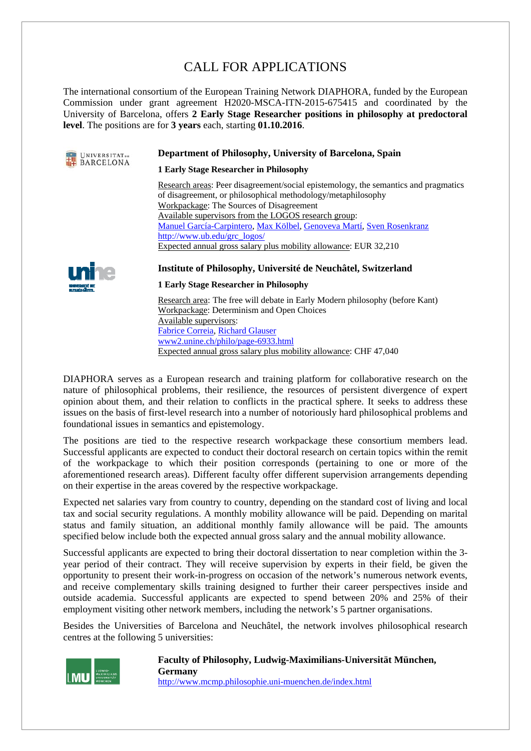# CALL FOR APPLICATIONS

The international consortium of the European Training Network DIAPHORA, funded by the European Commission under grant agreement H2020-MSCA-ITN-2015-675415 and coordinated by the University of Barcelona, offers **2 Early Stage Researcher positions in philosophy at predoctoral level**. The positions are for **3 years** each, starting **01.10.2016**.



#### **Department of Philosophy, University of Barcelona, Spain**

**1 Early Stage Researcher in Philosophy** 

Research areas: Peer disagreement/social epistemology, the semantics and pragmatics of disagreement, or philosophical methodology/metaphilosophy Workpackage: The Sources of Disagreement Available supervisors from the LOGOS research group: Manuel García-Carpintero, Max Kölbel, Genoveva Martí, Sven Rosenkranz http://www.ub.edu/grc\_logos/ Expected annual gross salary plus mobility allowance: EUR 32,210



#### **Institute of Philosophy, Université de Neuchâtel, Switzerland**

#### **1 Early Stage Researcher in Philosophy**

Research area: The free will debate in Early Modern philosophy (before Kant) Workpackage: Determinism and Open Choices Available supervisors: Fabrice Correia, Richard Glauser www2.unine.ch/philo/page-6933.html Expected annual gross salary plus mobility allowance: CHF 47,040

DIAPHORA serves as a European research and training platform for collaborative research on the nature of philosophical problems, their resilience, the resources of persistent divergence of expert opinion about them, and their relation to conflicts in the practical sphere. It seeks to address these issues on the basis of first-level research into a number of notoriously hard philosophical problems and foundational issues in semantics and epistemology.

The positions are tied to the respective research workpackage these consortium members lead. Successful applicants are expected to conduct their doctoral research on certain topics within the remit of the workpackage to which their position corresponds (pertaining to one or more of the aforementioned research areas). Different faculty offer different supervision arrangements depending on their expertise in the areas covered by the respective workpackage.

Expected net salaries vary from country to country, depending on the standard cost of living and local tax and social security regulations. A monthly mobility allowance will be paid. Depending on marital status and family situation, an additional monthly family allowance will be paid. The amounts specified below include both the expected annual gross salary and the annual mobility allowance.

Successful applicants are expected to bring their doctoral dissertation to near completion within the 3 year period of their contract. They will receive supervision by experts in their field, be given the opportunity to present their work-in-progress on occasion of the network's numerous network events, and receive complementary skills training designed to further their career perspectives inside and outside academia. Successful applicants are expected to spend between 20% and 25% of their employment visiting other network members, including the network's 5 partner organisations.

Besides the Universities of Barcelona and Neuchâtel, the network involves philosophical research centres at the following 5 universities:



**Faculty of Philosophy, Ludwig-Maximilians-Universität München, Germany**  http://www.mcmp.philosophie.uni-muenchen.de/index.html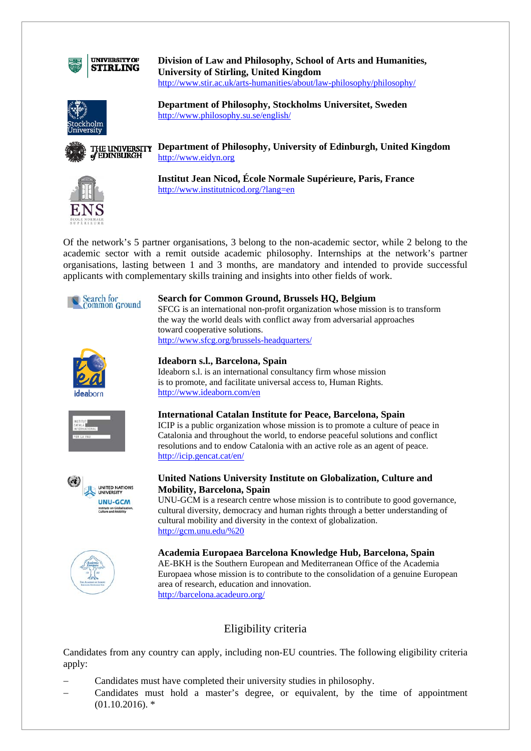

**Division of Law and Philosophy, School of Arts and Humanities, University of Stirling, United Kingdom**  http://www.stir.ac.uk/arts-humanities/about/law-philosophy/philosophy/



**Department of Philosophy, Stockholms Universitet, Sweden**  http://www.philosophy.su.se/english/



**THE UNIVERSITY** Department of Philosophy, University of Edinburgh, United Kingdom of EDINBURGH http://www.eidyn.org



**Institut Jean Nicod, École Normale Supérieure, Paris, France**  http://www.institutnicod.org/?lang=en

Of the network's 5 partner organisations, 3 belong to the non-academic sector, while 2 belong to the academic sector with a remit outside academic philosophy. Internships at the network's partner organisations, lasting between 1 and 3 months, are mandatory and intended to provide successful applicants with complementary skills training and insights into other fields of work.



#### **Search for Common Ground, Brussels HQ, Belgium**  SFCG is an international non-profit organization whose mission is to transform the way the world deals with conflict away from adversarial approaches

toward cooperative solutions. http://www.sfcg.org/brussels-headquarters/



#### **Ideaborn s.l., Barcelona, Spain**

Ideaborn s.l. is an international consultancy firm whose mission is to promote, and facilitate universal access to, Human Rights. http://www.ideaborn.com/en



#### **International Catalan Institute for Peace, Barcelona, Spain**

ICIP is a public organization whose mission is to promote a culture of peace in Catalonia and throughout the world, to endorse peaceful solutions and conflict resolutions and to endow Catalonia with an active role as an agent of peace. http://icip.gencat.cat/en/



#### **United Nations University Institute on Globalization, Culture and Mobility, Barcelona, Spain**

UNU-GCM is a research centre whose mission is to contribute to good governance, cultural diversity, democracy and human rights through a better understanding of cultural mobility and diversity in the context of globalization. http://gcm.unu.edu/%20



#### **Academia Europaea Barcelona Knowledge Hub, Barcelona, Spain**  AE-BKH is the Southern European and Mediterranean Office of the Academia Europaea whose mission is to contribute to the consolidation of a genuine European area of research, education and innovation. http://barcelona.acadeuro.org/

# Eligibility criteria

Candidates from any country can apply, including non-EU countries. The following eligibility criteria apply:

- Candidates must have completed their university studies in philosophy.
- Candidates must hold a master's degree, or equivalent, by the time of appointment  $(01.10.2016).$ \*